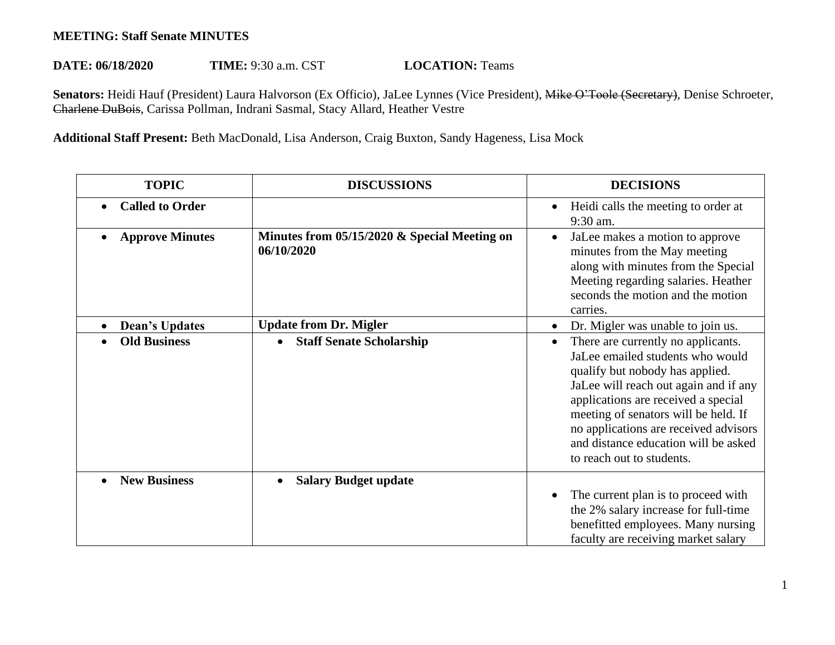## **MEETING: Staff Senate MINUTES**

## **DATE: 06/18/2020 TIME: 9:30 a.m. CST <b>LOCATION:** Teams

Senators: Heidi Hauf (President) Laura Halvorson (Ex Officio), JaLee Lynnes (Vice President), Mike O'Toole (Secretary), Denise Schroeter, Charlene DuBois, Carissa Pollman, Indrani Sasmal, Stacy Allard, Heather Vestre

**Additional Staff Present:** Beth MacDonald, Lisa Anderson, Craig Buxton, Sandy Hageness, Lisa Mock

| <b>TOPIC</b>                        | <b>DISCUSSIONS</b>                                         | <b>DECISIONS</b>                                                                                                                                                                                                                                                                                                                                |
|-------------------------------------|------------------------------------------------------------|-------------------------------------------------------------------------------------------------------------------------------------------------------------------------------------------------------------------------------------------------------------------------------------------------------------------------------------------------|
| <b>Called to Order</b><br>$\bullet$ |                                                            | Heidi calls the meeting to order at<br>9:30 am.                                                                                                                                                                                                                                                                                                 |
| <b>Approve Minutes</b><br>$\bullet$ | Minutes from 05/15/2020 & Special Meeting on<br>06/10/2020 | JaLee makes a motion to approve<br>$\bullet$<br>minutes from the May meeting<br>along with minutes from the Special<br>Meeting regarding salaries. Heather<br>seconds the motion and the motion<br>carries.                                                                                                                                     |
| Dean's Updates<br>$\bullet$         | <b>Update from Dr. Migler</b>                              | Dr. Migler was unable to join us.<br>$\bullet$                                                                                                                                                                                                                                                                                                  |
| <b>Old Business</b>                 | <b>Staff Senate Scholarship</b>                            | There are currently no applicants.<br>JaLee emailed students who would<br>qualify but nobody has applied.<br>JaLee will reach out again and if any<br>applications are received a special<br>meeting of senators will be held. If<br>no applications are received advisors<br>and distance education will be asked<br>to reach out to students. |
| <b>New Business</b>                 | <b>Salary Budget update</b>                                | The current plan is to proceed with<br>the 2% salary increase for full-time<br>benefitted employees. Many nursing<br>faculty are receiving market salary                                                                                                                                                                                        |